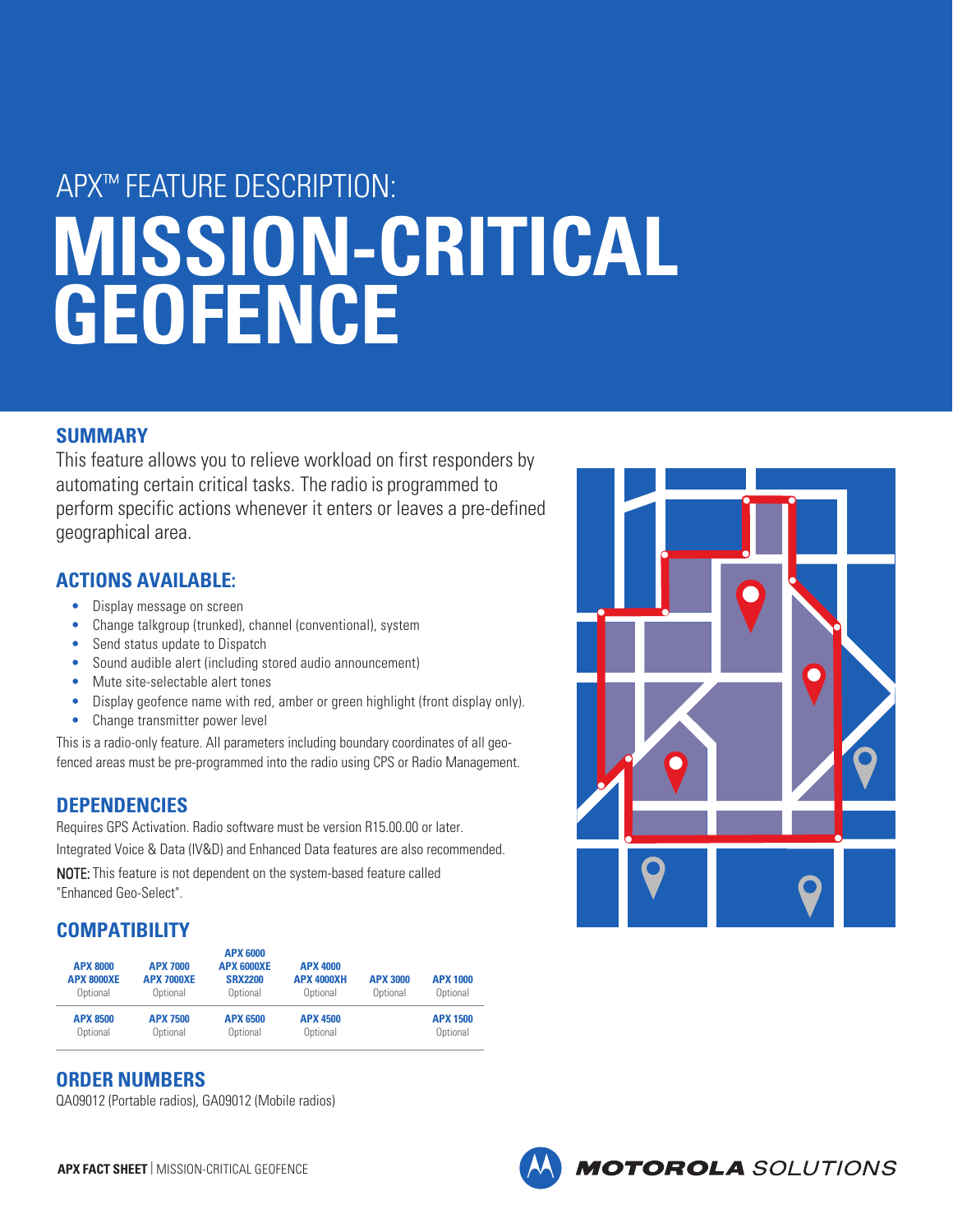# APX™ FEATURE DESCRIPTION: **MISSION-CRITICAL GEOFENCE**

# **SUMMARY**

This feature allows you to relieve workload on first responders by automating certain critical tasks. The radio is programmed to perform specific actions whenever it enters or leaves a pre-defined geographical area.

# **ACTIONS AVAILABLE:**

- Display message on screen
- Change talkgroup (trunked), channel (conventional), system
- Send status update to Dispatch
- Sound audible alert (including stored audio announcement)
- Mute site-selectable alert tones
- Display geofence name with red, amber or green highlight (front display only).
- Change transmitter power level

This is a radio-only feature. All parameters including boundary coordinates of all geofenced areas must be pre-programmed into the radio using CPS or Radio Management.

# **DEPENDENCIES**

Requires GPS Activation. Radio software must be version R15.00.00 or later. Integrated Voice & Data (IV&D) and Enhanced Data features are also recommended. NOTE: This feature is not dependent on the system-based feature called "Enhanced Geo-Select".

# **COMPATIBILITY**

| <b>APX 8000</b><br><b>APX 8000XE</b><br>Optional | <b>APX 7000</b><br><b>APX 7000XE</b><br>Optional | <b>APX 6000</b><br><b>APX 6000XF</b><br><b>SRX2200</b><br>Optional | <b>APX 4000</b><br><b>APX 4000XH</b><br>Optional | <b>APX 3000</b><br>Optional | <b>APX 1000</b><br>Optional |
|--------------------------------------------------|--------------------------------------------------|--------------------------------------------------------------------|--------------------------------------------------|-----------------------------|-----------------------------|
| <b>APX 8500</b>                                  | <b>APX 7500</b>                                  | <b>APX 6500</b>                                                    | <b>APX 4500</b>                                  |                             | <b>APX 1500</b>             |
| Optional                                         | Optional                                         | Optional                                                           | Optional                                         |                             | Optional                    |

# **ORDER NUMBERS**

QA09012 (Portable radios), GA09012 (Mobile radios)